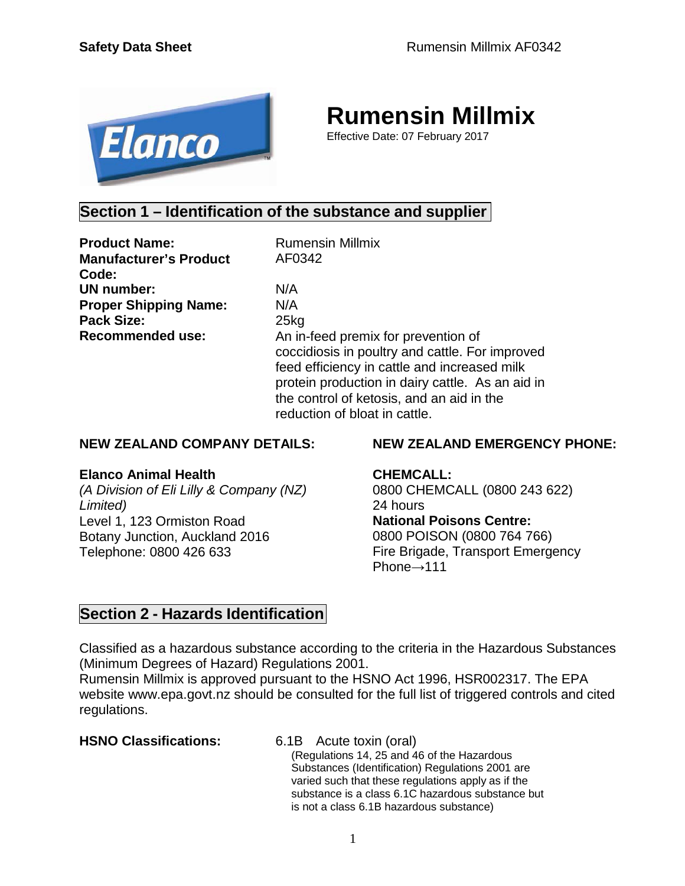

# **Rumensin Millmix**

Effective Date: 07 February 2017

### **Section 1 – Identification of the substance and supplier**

**Product Name:** Rumensin Millmix **Manufacturer's Product Code: UN number:** N/A **Proper Shipping Name:** N/A **Pack Size:** 25kg

AF0342

**Recommended use:** An in-feed premix for prevention of coccidiosis in poultry and cattle. For improved feed efficiency in cattle and increased milk protein production in dairy cattle. As an aid in the control of ketosis, and an aid in the reduction of bloat in cattle.

#### **NEW ZEALAND COMPANY DETAILS:**

#### **Elanco Animal Health**

*(A Division of Eli Lilly & Company (NZ) Limited)* Level 1, 123 Ormiston Road Botany Junction, Auckland 2016 Telephone: 0800 426 633

#### **NEW ZEALAND EMERGENCY PHONE:**

#### **CHEMCALL:**

0800 CHEMCALL (0800 243 622) 24 hours **National Poisons Centre:** 0800 POISON (0800 764 766) Fire Brigade, Transport Emergency Phone→111

### **Section 2 - Hazards Identification**

Classified as a hazardous substance according to the criteria in the Hazardous Substances (Minimum Degrees of Hazard) Regulations 2001.

Rumensin Millmix is approved pursuant to the HSNO Act 1996, HSR002317. The EPA website [www.epa.govt.nz](http://www.epa.govt.nz/) should be consulted for the full list of triggered controls and cited regulations.

**HSNO Classifications:** 6.1B Acute toxin (oral)

(Regulations 14, 25 and 46 of the Hazardous Substances (Identification) Regulations 2001 are varied such that these regulations apply as if the substance is a class 6.1C hazardous substance but is not a class 6.1B hazardous substance)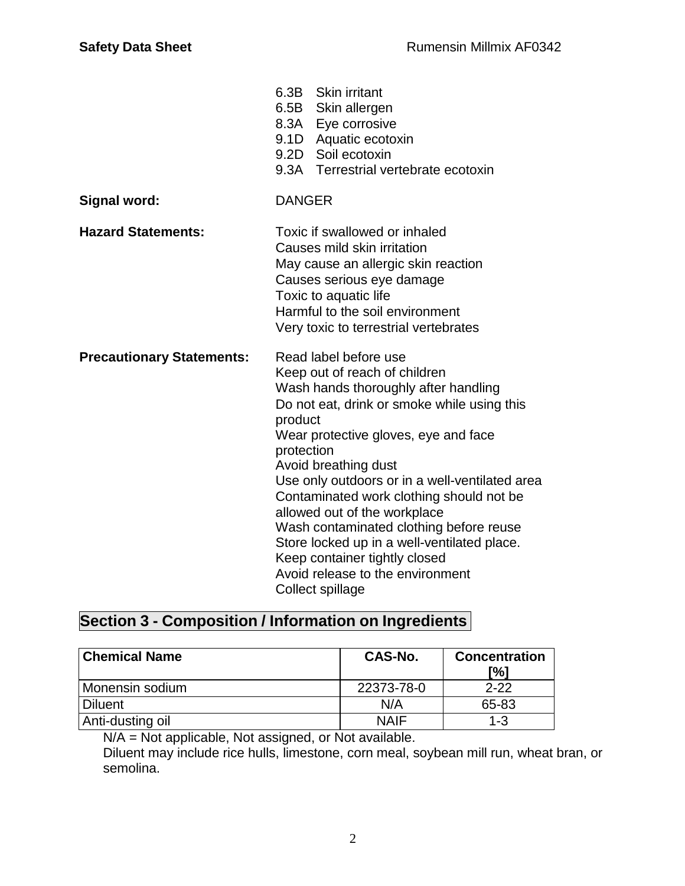|                                  | 6.3B Skin irritant<br>6.5B Skin allergen<br>8.3A Eye corrosive<br>9.1D Aquatic ecotoxin<br>9.2D Soil ecotoxin<br>9.3A Terrestrial vertebrate ecotoxin                                                                                                                                                                                                                                                                                                                                                                                                   |  |
|----------------------------------|---------------------------------------------------------------------------------------------------------------------------------------------------------------------------------------------------------------------------------------------------------------------------------------------------------------------------------------------------------------------------------------------------------------------------------------------------------------------------------------------------------------------------------------------------------|--|
| <b>Signal word:</b>              | <b>DANGER</b>                                                                                                                                                                                                                                                                                                                                                                                                                                                                                                                                           |  |
| <b>Hazard Statements:</b>        | Toxic if swallowed or inhaled<br>Causes mild skin irritation<br>May cause an allergic skin reaction<br>Causes serious eye damage<br>Toxic to aquatic life<br>Harmful to the soil environment<br>Very toxic to terrestrial vertebrates                                                                                                                                                                                                                                                                                                                   |  |
| <b>Precautionary Statements:</b> | Read label before use<br>Keep out of reach of children<br>Wash hands thoroughly after handling<br>Do not eat, drink or smoke while using this<br>product<br>Wear protective gloves, eye and face<br>protection<br>Avoid breathing dust<br>Use only outdoors or in a well-ventilated area<br>Contaminated work clothing should not be<br>allowed out of the workplace<br>Wash contaminated clothing before reuse<br>Store locked up in a well-ventilated place.<br>Keep container tightly closed<br>Avoid release to the environment<br>Collect spillage |  |

# **Section 3 - Composition / Information on Ingredients**

| <b>Chemical Name</b> | CAS-No.     | <b>Concentration</b><br>[%] |
|----------------------|-------------|-----------------------------|
| Monensin sodium      | 22373-78-0  | $2 - 22$                    |
| <b>Diluent</b>       | N/A         | 65-83                       |
| Anti-dusting oil     | <b>NAIF</b> | $1 - 3$                     |

N/A = Not applicable, Not assigned, or Not available.

Diluent may include rice hulls, limestone, corn meal, soybean mill run, wheat bran, or semolina.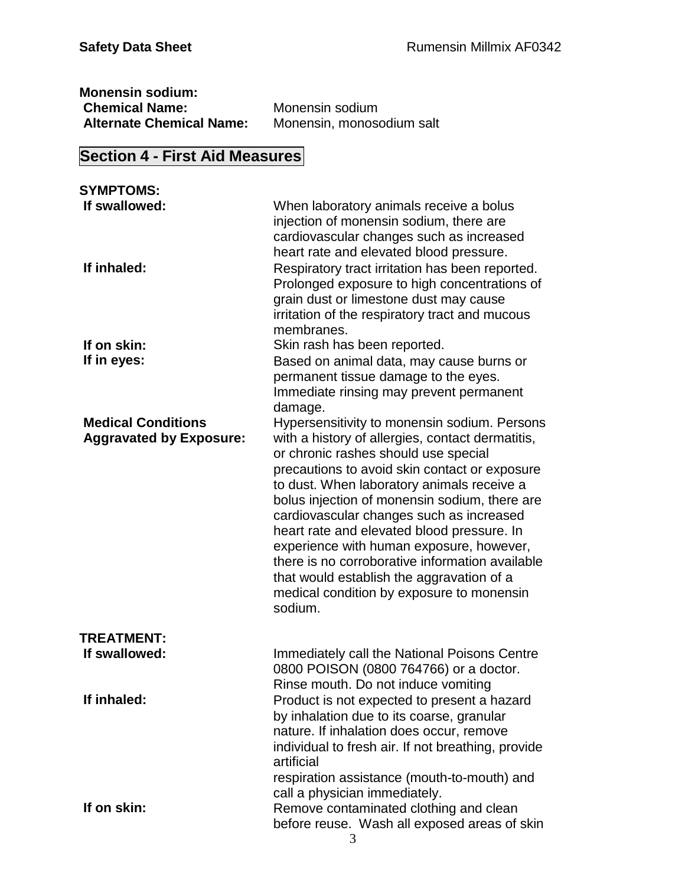| <b>Monensin sodium:</b>         |                           |
|---------------------------------|---------------------------|
| <b>Chemical Name:</b>           | Monensin sodium           |
| <b>Alternate Chemical Name:</b> | Monensin, monosodium salt |

# **Section 4 - First Aid Measures**

| <b>SYMPTOMS:</b>                                            |                                                                                                                                                                                                                                                                                                                                                                                                                                                                                                                                                                                        |
|-------------------------------------------------------------|----------------------------------------------------------------------------------------------------------------------------------------------------------------------------------------------------------------------------------------------------------------------------------------------------------------------------------------------------------------------------------------------------------------------------------------------------------------------------------------------------------------------------------------------------------------------------------------|
| If swallowed:<br>If inhaled:                                | When laboratory animals receive a bolus<br>injection of monensin sodium, there are<br>cardiovascular changes such as increased<br>heart rate and elevated blood pressure.<br>Respiratory tract irritation has been reported.<br>Prolonged exposure to high concentrations of<br>grain dust or limestone dust may cause<br>irritation of the respiratory tract and mucous<br>membranes.                                                                                                                                                                                                 |
| If on skin:                                                 | Skin rash has been reported.                                                                                                                                                                                                                                                                                                                                                                                                                                                                                                                                                           |
| If in eyes:                                                 | Based on animal data, may cause burns or<br>permanent tissue damage to the eyes.<br>Immediate rinsing may prevent permanent<br>damage.                                                                                                                                                                                                                                                                                                                                                                                                                                                 |
| <b>Medical Conditions</b><br><b>Aggravated by Exposure:</b> | Hypersensitivity to monensin sodium. Persons<br>with a history of allergies, contact dermatitis,<br>or chronic rashes should use special<br>precautions to avoid skin contact or exposure<br>to dust. When laboratory animals receive a<br>bolus injection of monensin sodium, there are<br>cardiovascular changes such as increased<br>heart rate and elevated blood pressure. In<br>experience with human exposure, however,<br>there is no corroborative information available<br>that would establish the aggravation of a<br>medical condition by exposure to monensin<br>sodium. |
|                                                             |                                                                                                                                                                                                                                                                                                                                                                                                                                                                                                                                                                                        |
| <b>TREATMENT:</b><br>If swallowed:                          | Immediately call the National Poisons Centre<br>0800 POISON (0800 764766) or a doctor.<br>Rinse mouth. Do not induce vomiting                                                                                                                                                                                                                                                                                                                                                                                                                                                          |
| If inhaled:                                                 | Product is not expected to present a hazard<br>by inhalation due to its coarse, granular<br>nature. If inhalation does occur, remove<br>individual to fresh air. If not breathing, provide<br>artificial<br>respiration assistance (mouth-to-mouth) and<br>call a physician immediately.                                                                                                                                                                                                                                                                                               |
| If on skin:                                                 | Remove contaminated clothing and clean<br>before reuse. Wash all exposed areas of skin<br>3                                                                                                                                                                                                                                                                                                                                                                                                                                                                                            |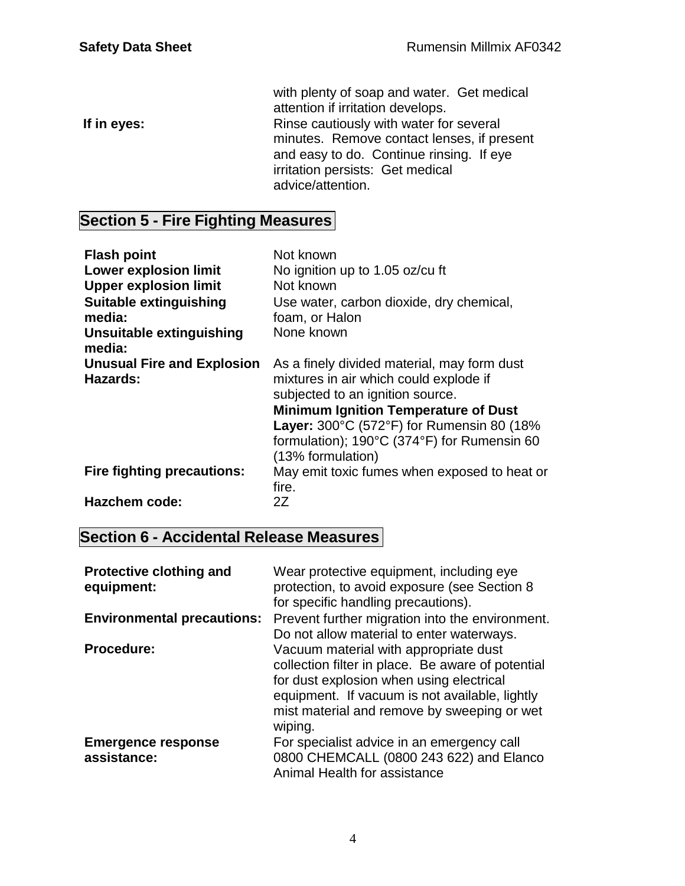with plenty of soap and water. Get medical attention if irritation develops. **If in eyes:** Rinse cautiously with water for several minutes. Remove contact lenses, if present and easy to do. Continue rinsing. If eye irritation persists: Get medical advice/attention.

# **Section 5 - Fire Fighting Measures**

| <b>Flash point</b><br><b>Lower explosion limit</b><br><b>Upper explosion limit</b><br><b>Suitable extinguishing</b><br>media:<br>Unsuitable extinguishing | Not known<br>No ignition up to 1.05 oz/cu ft<br>Not known<br>Use water, carbon dioxide, dry chemical,<br>foam, or Halon<br>None known                                                            |
|-----------------------------------------------------------------------------------------------------------------------------------------------------------|--------------------------------------------------------------------------------------------------------------------------------------------------------------------------------------------------|
| media:<br><b>Unusual Fire and Explosion</b><br>Hazards:                                                                                                   | As a finely divided material, may form dust<br>mixtures in air which could explode if                                                                                                            |
|                                                                                                                                                           | subjected to an ignition source.<br><b>Minimum Ignition Temperature of Dust</b><br>Layer: 300°C (572°F) for Rumensin 80 (18%<br>formulation); 190°C (374°F) for Rumensin 60<br>(13% formulation) |
| <b>Fire fighting precautions:</b>                                                                                                                         | May emit toxic fumes when exposed to heat or<br>fire.                                                                                                                                            |
| <b>Hazchem code:</b>                                                                                                                                      | 2Ζ                                                                                                                                                                                               |

### **Section 6 - Accidental Release Measures**

| <b>Protective clothing and</b><br>equipment: | Wear protective equipment, including eye<br>protection, to avoid exposure (see Section 8<br>for specific handling precautions).                                                                                                                    |
|----------------------------------------------|----------------------------------------------------------------------------------------------------------------------------------------------------------------------------------------------------------------------------------------------------|
| <b>Environmental precautions:</b>            | Prevent further migration into the environment.<br>Do not allow material to enter waterways.                                                                                                                                                       |
| <b>Procedure:</b>                            | Vacuum material with appropriate dust<br>collection filter in place. Be aware of potential<br>for dust explosion when using electrical<br>equipment. If vacuum is not available, lightly<br>mist material and remove by sweeping or wet<br>wiping. |
| <b>Emergence response</b><br>assistance:     | For specialist advice in an emergency call<br>0800 CHEMCALL (0800 243 622) and Elanco<br>Animal Health for assistance                                                                                                                              |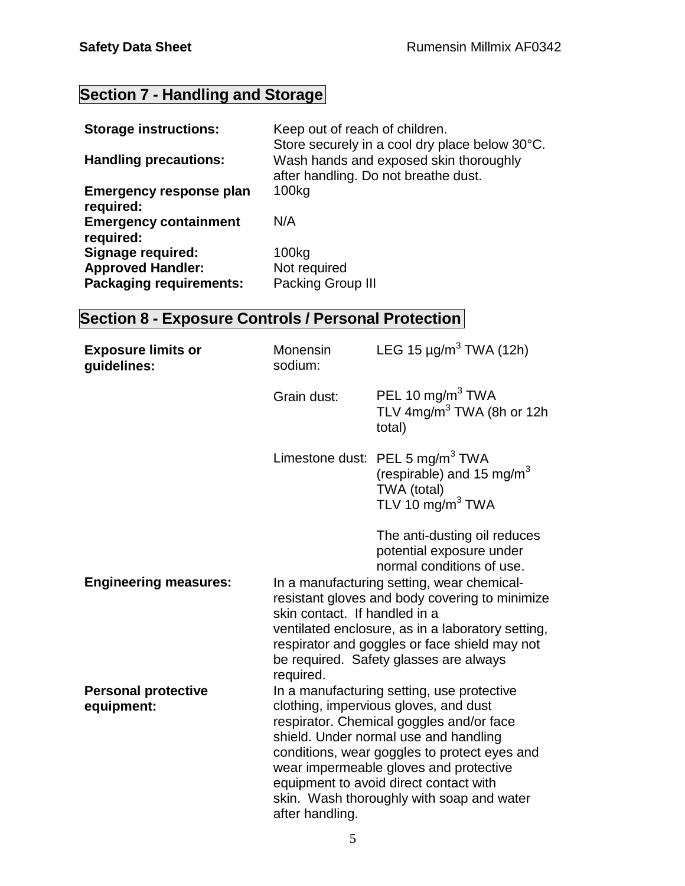# **Section 7 - Handling and Storage**

| <b>Storage instructions:</b>                | Keep out of reach of children.<br>Store securely in a cool dry place below 30°C. |
|---------------------------------------------|----------------------------------------------------------------------------------|
| <b>Handling precautions:</b>                | Wash hands and exposed skin thoroughly<br>after handling. Do not breathe dust.   |
| <b>Emergency response plan</b><br>required: | 100kg                                                                            |
| <b>Emergency containment</b><br>required:   | N/A                                                                              |
| <b>Signage required:</b>                    | 100kg                                                                            |
| <b>Approved Handler:</b>                    | Not required                                                                     |
| <b>Packaging requirements:</b>              | Packing Group III                                                                |

# **Section 8 - Exposure Controls / Personal Protection**

| <b>Exposure limits or</b><br>guidelines: | Monensin<br>sodium:                                                                                                                                                                                                                                                                                                                                                          | LEG 15 $\mu$ g/m <sup>3</sup> TWA (12h)                                                                                                                                                                                                      |
|------------------------------------------|------------------------------------------------------------------------------------------------------------------------------------------------------------------------------------------------------------------------------------------------------------------------------------------------------------------------------------------------------------------------------|----------------------------------------------------------------------------------------------------------------------------------------------------------------------------------------------------------------------------------------------|
|                                          | Grain dust:                                                                                                                                                                                                                                                                                                                                                                  | PEL 10 mg/m <sup>3</sup> TWA<br>TLV 4mg/m <sup>3</sup> TWA (8h or 12h<br>total)                                                                                                                                                              |
|                                          |                                                                                                                                                                                                                                                                                                                                                                              | Limestone dust: PEL 5 mg/m <sup>3</sup> TWA<br>(respirable) and 15 mg/m <sup>3</sup><br>TWA (total)<br>TLV 10 $mg/m3 TWA$                                                                                                                    |
|                                          |                                                                                                                                                                                                                                                                                                                                                                              | The anti-dusting oil reduces<br>potential exposure under<br>normal conditions of use.                                                                                                                                                        |
| <b>Engineering measures:</b>             | skin contact. If handled in a                                                                                                                                                                                                                                                                                                                                                | In a manufacturing setting, wear chemical-<br>resistant gloves and body covering to minimize<br>ventilated enclosure, as in a laboratory setting,<br>respirator and goggles or face shield may not<br>be required. Safety glasses are always |
|                                          | required.                                                                                                                                                                                                                                                                                                                                                                    |                                                                                                                                                                                                                                              |
| <b>Personal protective</b><br>equipment: | In a manufacturing setting, use protective<br>clothing, impervious gloves, and dust<br>respirator. Chemical goggles and/or face<br>shield. Under normal use and handling<br>conditions, wear goggles to protect eyes and<br>wear impermeable gloves and protective<br>equipment to avoid direct contact with<br>skin. Wash thoroughly with soap and water<br>after handling. |                                                                                                                                                                                                                                              |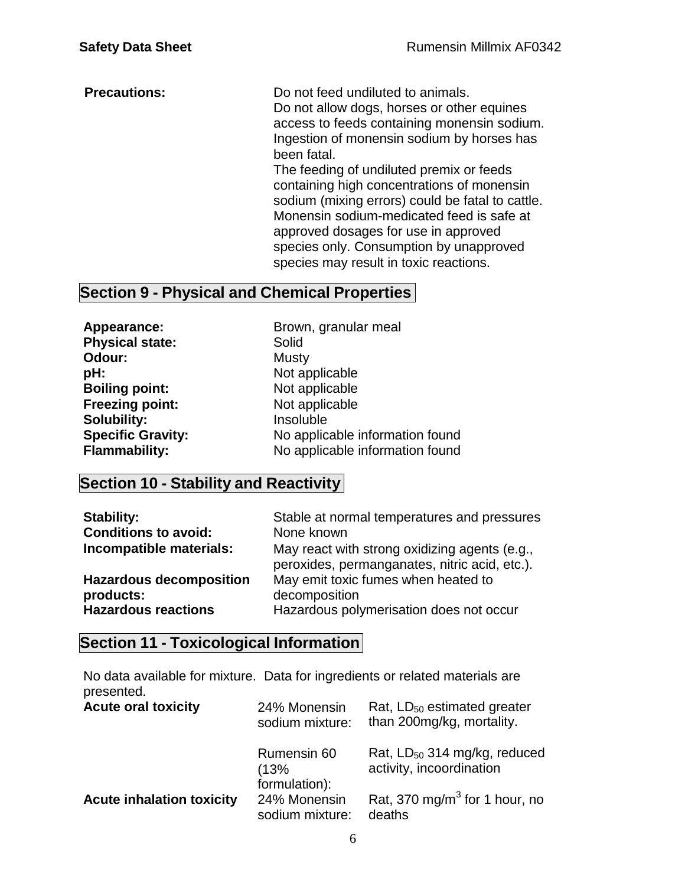**Precautions:** Do not feed undiluted to animals. Do not allow dogs, horses or other equines access to feeds containing monensin sodium. Ingestion of monensin sodium by horses has been fatal. The feeding of undiluted premix or feeds containing high concentrations of monensin sodium (mixing errors) could be fatal to cattle. Monensin sodium-medicated feed is safe at approved dosages for use in approved species only. Consumption by unapproved species may result in toxic reactions.

### **Section 9 - Physical and Chemical Properties**

**Physical state:** Solid **Odour:** Musty **pH:**<br> **Boiling point:**<br> **Not applicable**<br>
Not applicable **Boiling point:**<br> **Preezing point:**<br>
Not applicable **Freezing point: Solubility:** Insoluble

**Appearance:** Brown, granular meal **Specific Gravity:** No applicable information found<br> **Flammability:** No applicable information found No applicable information found

### **Section 10 - Stability and Reactivity**

| <b>Stability:</b>              | Stable at normal temperatures and pressures                                                    |
|--------------------------------|------------------------------------------------------------------------------------------------|
| <b>Conditions to avoid:</b>    | None known                                                                                     |
| Incompatible materials:        | May react with strong oxidizing agents (e.g.,<br>peroxides, permanganates, nitric acid, etc.). |
| <b>Hazardous decomposition</b> | May emit toxic fumes when heated to                                                            |
| products:                      | decomposition                                                                                  |
| <b>Hazardous reactions</b>     | Hazardous polymerisation does not occur                                                        |

### **Section 11 - Toxicological Information**

No data available for mixture. Data for ingredients or related materials are presented.

| <b>Acute oral toxicity</b>       | 24% Monensin<br>sodium mixture:      | Rat, LD <sub>50</sub> estimated greater<br>than 200mg/kg, mortality. |
|----------------------------------|--------------------------------------|----------------------------------------------------------------------|
|                                  | Rumensin 60<br>(13%<br>formulation): | Rat, LD <sub>50</sub> 314 mg/kg, reduced<br>activity, incoordination |
| <b>Acute inhalation toxicity</b> | 24% Monensin<br>sodium mixture:      | Rat, 370 mg/m <sup>3</sup> for 1 hour, no<br>deaths                  |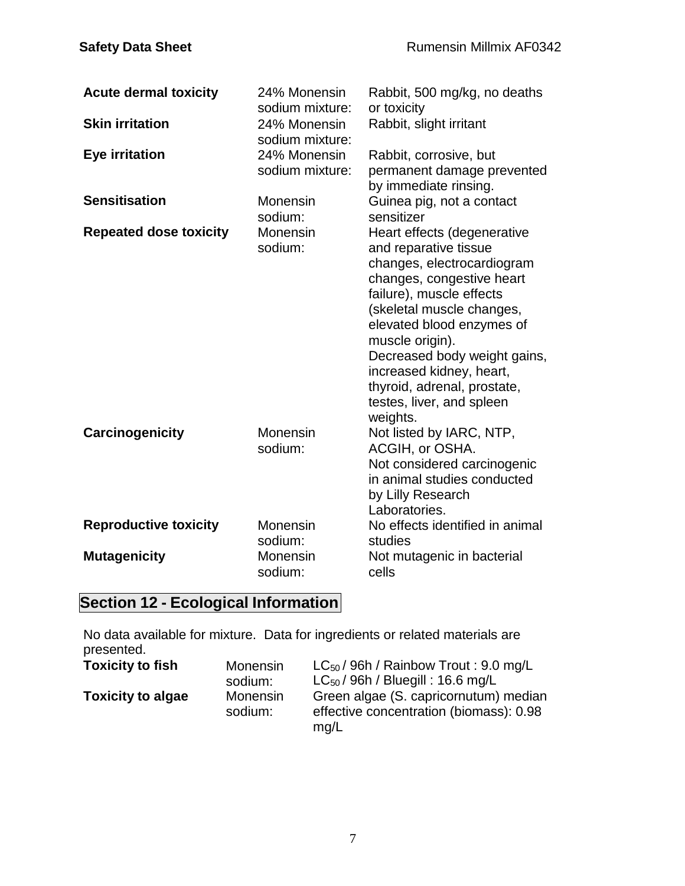| <b>Acute dermal toxicity</b>  | 24% Monensin<br>sodium mixture: | Rabbit, 500 mg/kg, no deaths<br>or toxicity                                                                                                                                                                                                                                                                                                                  |
|-------------------------------|---------------------------------|--------------------------------------------------------------------------------------------------------------------------------------------------------------------------------------------------------------------------------------------------------------------------------------------------------------------------------------------------------------|
| <b>Skin irritation</b>        | 24% Monensin<br>sodium mixture: | Rabbit, slight irritant                                                                                                                                                                                                                                                                                                                                      |
| Eye irritation                | 24% Monensin<br>sodium mixture: | Rabbit, corrosive, but<br>permanent damage prevented<br>by immediate rinsing.                                                                                                                                                                                                                                                                                |
| <b>Sensitisation</b>          | Monensin<br>sodium:             | Guinea pig, not a contact<br>sensitizer                                                                                                                                                                                                                                                                                                                      |
| <b>Repeated dose toxicity</b> | Monensin<br>sodium:             | Heart effects (degenerative<br>and reparative tissue<br>changes, electrocardiogram<br>changes, congestive heart<br>failure), muscle effects<br>(skeletal muscle changes,<br>elevated blood enzymes of<br>muscle origin).<br>Decreased body weight gains,<br>increased kidney, heart,<br>thyroid, adrenal, prostate,<br>testes, liver, and spleen<br>weights. |
| Carcinogenicity               | Monensin<br>sodium:             | Not listed by IARC, NTP,<br>ACGIH, or OSHA.<br>Not considered carcinogenic<br>in animal studies conducted<br>by Lilly Research<br>Laboratories.                                                                                                                                                                                                              |
| <b>Reproductive toxicity</b>  | Monensin<br>sodium:             | No effects identified in animal<br>studies                                                                                                                                                                                                                                                                                                                   |
| <b>Mutagenicity</b>           | Monensin<br>sodium:             | Not mutagenic in bacterial<br>cells                                                                                                                                                                                                                                                                                                                          |

# **Section 12 - Ecological Information**

No data available for mixture. Data for ingredients or related materials are presented.

| <b>Toxicity to fish</b>  | Monensin            | $LC_{50}$ / 96h / Rainbow Trout: 9.0 mg/L                                                |
|--------------------------|---------------------|------------------------------------------------------------------------------------------|
|                          | sodium:             | $LC_{50}$ / 96h / Bluegill : 16.6 mg/L                                                   |
| <b>Toxicity to algae</b> | Monensin<br>sodium: | Green algae (S. capricornutum) median<br>effective concentration (biomass): 0.98<br>mq/L |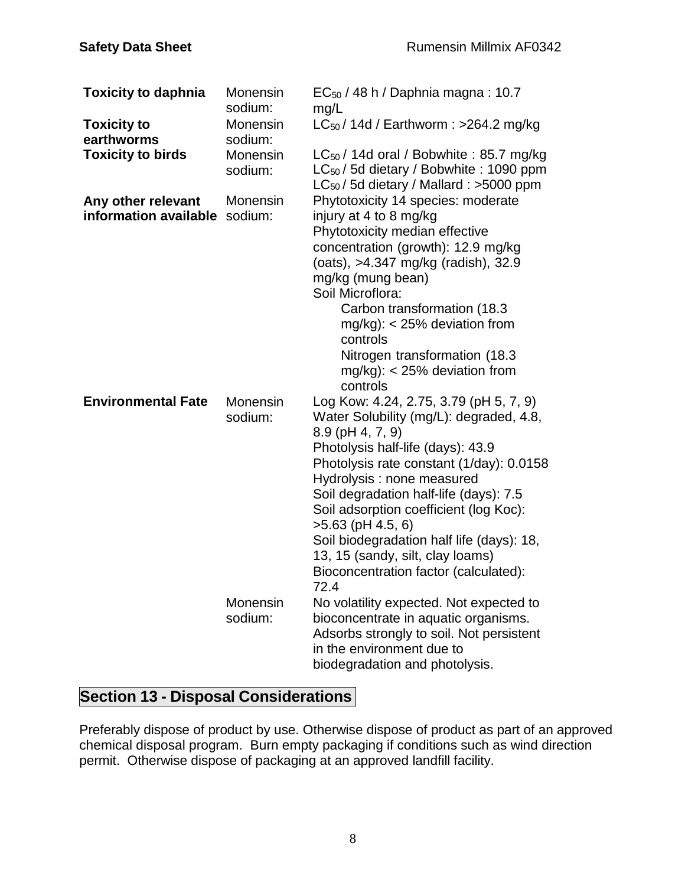| <b>Toxicity to daphnia</b>                          | Monensin<br>sodium: | $EC_{50}$ / 48 h / Daphnia magna: 10.7<br>mg/L                                                                                                                                                                                                                                                                                                                                                                                                                    |
|-----------------------------------------------------|---------------------|-------------------------------------------------------------------------------------------------------------------------------------------------------------------------------------------------------------------------------------------------------------------------------------------------------------------------------------------------------------------------------------------------------------------------------------------------------------------|
| <b>Toxicity to</b><br>earthworms                    | Monensin<br>sodium: | $LC_{50}$ / 14d / Earthworm : >264.2 mg/kg                                                                                                                                                                                                                                                                                                                                                                                                                        |
| <b>Toxicity to birds</b>                            | Monensin<br>sodium: | $LC_{50}$ / 14d oral / Bobwhite: 85.7 mg/kg<br>$LC_{50}$ / 5d dietary / Bobwhite : 1090 ppm<br>LC <sub>50</sub> /5d dietary / Mallard : >5000 ppm                                                                                                                                                                                                                                                                                                                 |
| Any other relevant<br>information available sodium: | Monensin            | Phytotoxicity 14 species: moderate<br>injury at 4 to 8 mg/kg<br>Phytotoxicity median effective<br>concentration (growth): 12.9 mg/kg<br>(oats), >4.347 mg/kg (radish), 32.9<br>mg/kg (mung bean)<br>Soil Microflora:<br>Carbon transformation (18.3)<br>$mg/kg$ : < 25% deviation from<br>controls<br>Nitrogen transformation (18.3)<br>$mg/kg$ : < 25% deviation from<br>controls                                                                                |
| <b>Environmental Fate</b>                           | Monensin<br>sodium: | Log Kow: 4.24, 2.75, 3.79 (pH 5, 7, 9)<br>Water Solubility (mg/L): degraded, 4.8,<br>8.9 (pH 4, 7, 9)<br>Photolysis half-life (days): 43.9<br>Photolysis rate constant (1/day): 0.0158<br>Hydrolysis : none measured<br>Soil degradation half-life (days): 7.5<br>Soil adsorption coefficient (log Koc):<br>$>5.63$ (pH 4.5, 6)<br>Soil biodegradation half life (days): 18,<br>13, 15 (sandy, silt, clay loams)<br>Bioconcentration factor (calculated):<br>72.4 |
|                                                     | Monensin<br>sodium: | No volatility expected. Not expected to<br>bioconcentrate in aquatic organisms.<br>Adsorbs strongly to soil. Not persistent<br>in the environment due to<br>biodegradation and photolysis.                                                                                                                                                                                                                                                                        |

# **Section 13 - Disposal Considerations**

Preferably dispose of product by use. Otherwise dispose of product as part of an approved chemical disposal program. Burn empty packaging if conditions such as wind direction permit. Otherwise dispose of packaging at an approved landfill facility.